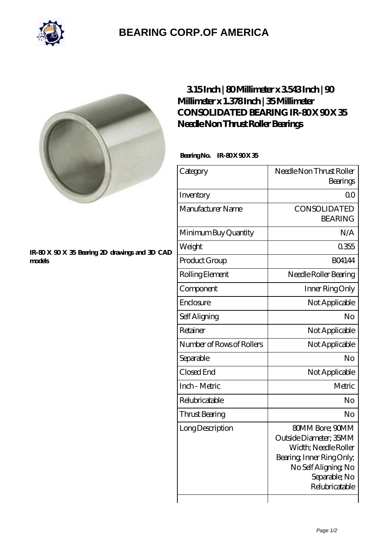

# **[BEARING CORP.OF AMERICA](https://bluemondayreview.com)**



### **[IR-80 X 90 X 35 Bearing 2D drawings and 3D CAD](https://bluemondayreview.com/pic-176346.html) [models](https://bluemondayreview.com/pic-176346.html)**

### **[3.15 Inch | 80 Millimeter x 3.543 Inch | 90](https://bluemondayreview.com/aI-176346-consolidated-bearing-ir-80-x-90-x-35-needle-non-thrust-roller-bearings.html) [Millimeter x 1.378 Inch | 35 Millimeter](https://bluemondayreview.com/aI-176346-consolidated-bearing-ir-80-x-90-x-35-needle-non-thrust-roller-bearings.html) CONSOLIDATED BEARING IR-80X 90X 35 [Needle Non Thrust Roller Bearings](https://bluemondayreview.com/aI-176346-consolidated-bearing-ir-80-x-90-x-35-needle-non-thrust-roller-bearings.html)**

### Bearing No. IR-80 X 90 X 35

| Category                  | Needle Non Thrust Roller<br>Bearings                                                                                                                             |
|---------------------------|------------------------------------------------------------------------------------------------------------------------------------------------------------------|
| Inventory                 | ΩO                                                                                                                                                               |
| Manufacturer Name         | <b>CONSOLIDATED</b><br><b>BEARING</b>                                                                                                                            |
| Minimum Buy Quantity      | N/A                                                                                                                                                              |
| Weight                    | 0355                                                                                                                                                             |
| Product Group             | <b>BO4144</b>                                                                                                                                                    |
| Rolling Element           | Needle Roller Bearing                                                                                                                                            |
| Component                 | Inner Ring Only                                                                                                                                                  |
| Enclosure                 | Not Applicable                                                                                                                                                   |
| Self Aligning             | No                                                                                                                                                               |
| Retainer                  | Not Applicable                                                                                                                                                   |
| Number of Rows of Rollers | Not Applicable                                                                                                                                                   |
| Separable                 | No                                                                                                                                                               |
| Closed End                | Not Applicable                                                                                                                                                   |
| Inch - Metric             | Metric                                                                                                                                                           |
| Relubricatable            | No                                                                                                                                                               |
| Thrust Bearing            | No                                                                                                                                                               |
| Long Description          | <b>80MM Bore; 90MM</b><br>Outside Diameter; 35MM<br>Width; Needle Roller<br>Bearing, Inner Ring Only,<br>No Self Aligning, No<br>Separable; No<br>Relubricatable |